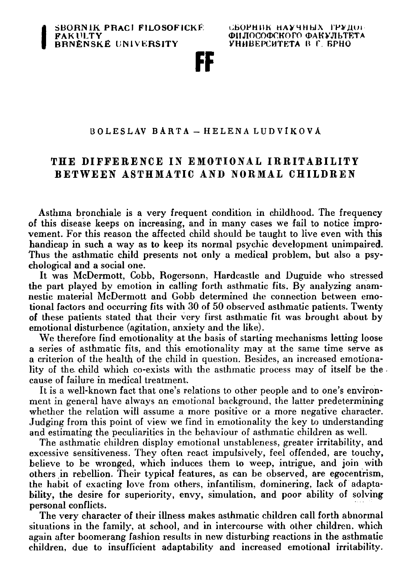**UBOFHIIK HAy4Hhl X** *WVJlUi-***ФИЛОСОФСКОГО ФАКУЛЬТЕТА VHMBEPCHTETA B l \ BPHO** 

FF

## **BOLESLA V BART A — HELEN A LUDVlKOV A**

# **T H E DIFFERENC E IN EMOTIONAL IRRITABILIT Y**  BETWEEN ASTHMATIC AND NORMAL CHILDREN

**Asthma bronchiale is a very frequent condition in childhood. The frequency of this disease keeps on increasing, and in many cases we fail to notice improvement. For this reason the affected child should be taught to live even with this handicap in such a way as to keep its normal psychic development unimpaired. Thus the asthmatic child presents not only a medical problem, but also a psychological and a social one.** 

**It was McDermott, Cobb, Rogersonn, Hardcastle and Duguide who stressed the part played by emotion in calling forth asthmatic fits. By analyzing anamnestic material McDermott and Gobb determined the connection between emotional factors and occurring fits with 30 of 50 observed asthmatic patients. Twenty of these patients stated that their very first asthmatic fit was brought about by emotional disturbence (agitation, anxiety and the like).** 

**We therefore find emotionality at the basis of starting mechanisms letting loose a series of asthmatic fits, and this emotionality may at the same time serve as a criterion of the health of the child in question. Besides, an increased emotionality of the- child which co-exists with the asthmatic process may of itself be the cause of failure in medical treatment.** 

**It is a well-known fact that one's relations to other people and to one's environment in general have always an emotional background, the latter predetermining**  whether the relation will assume a more positive or a more negative character. **Judging from this point of view we find in emotionality the key to understanding and estimating the peculiarities in the behaviour of asthmatic children as well.** 

**The asthmatic children display emotional unstableness, greater irritability, and excessive sensitiveness. They often react impulsively, feel offended, are touchy, believe to be wronged, which induces them to weep, intrigue, and join with others in rebellion. Their typical features, as can be observed, are egocentrism, the habit of exacting love from others, infantilism, dominering, lack of adaptability, the desire for superiority, envy, simulation, and poor ability of solving personal conflicts.** 

**The very character of their illness makes asthmatic children call forth abnormal situations in the family, at school, and in intercourse with other children, which again after boomerang fashion results in new disturbing reactions in the asthmatic children, due to insufficient adaptability and increased emotional irritability.**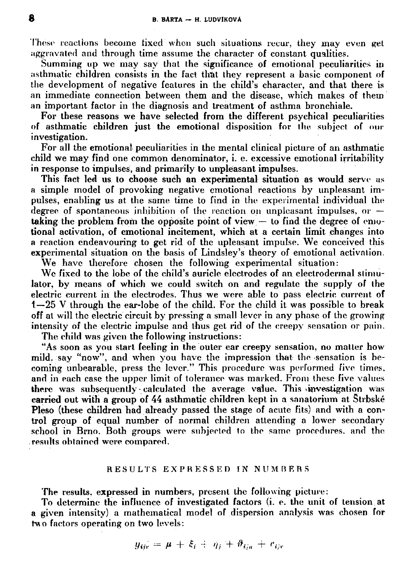**These reactions become fixed when such situations recur, they may even get aggravated and through time assume the character of constant qualities.** 

**Summing up we may say that the significance of emotional peculiarities in asthmatic children consists in the fact that they represent a basic component of the development of negative features in the child's character, and that there is an immediate connection between them and the disease, which makes of them an important factor in the diagnosis and treatment of asthma bronchiale.** 

**For these reasons we have selected from the different psychical peculiarities of asthmatic children just the emotional disposition for the subject of our investigation.** 

**For all the emotional peculiarities in the mental clinical picture of an asthmatic child we may find one common denominator, i. e. excessive emotional irritability in response to impulses, and primarily to unpleasant impulses.** 

**This fact led us to choose such an experimental situation as would serve as a simple model of provoking negative emotional reactions by unpleasant impulses, enabling us at the same time to find in the experimental individual the degree of spontaneous inhibition of the reaction on unpleasant impulses, or taking the problem from the opposite point of view — to find the degree of emotional activation, of emotional incitement, which at a certain limit changes into a reaction endeavouring to get rid of the upleasant impulse. We conceived this experimental situation on the basis of Lindsley's theory of emotional activation.** 

**We have therefore chosen the following experimental situation:** 

We fixed to the lobe of the child's auricle electrodes of an electrodermal stimu**lator, by means of which we could switch on and regulate the supply of the electric current in the electrodes. Thus we were able to pass electric current of 1—25 V through the ear-lobe of the child. For the child it was possible to break off at will the electric circuit by pressing a small lever in any phase of the growing intensity of the electric impulse and thus get rid of the creepy sensation or pain.** 

**The child was given the following instructions:** 

**"As soon as you start feeling in the outer ear creepy sensation, no matter how mild, say "now", and when you have the impression that the sensation is becoming unbearable, press the lever." This procedure was performed five times, and in each case the upper limit of tolerance was marked. From these five values there was subsequently • calculated the average value. This ^investigation was carried out with a group of 44 asthmatic children kept in a sanatorium at Strbske Pleso (these children had already passed the stage of acute fits) and with a control group of equal number of normal children attending a lower secondary**  school in Brno. Both groups were subjected to the same procedures, and the **results obtained were compared.** 

#### **RESULT S EXPRESSE D IN NUM B E RS**

**The results, expressed in numbers, present the following picture:** 

**To determine the influence of investigated factors (i. e. the unit of tension.at a given intensity) a mathematical model of dispersion analysis was chosen for two factors operating on two levels:** 

$$
y_{ijr} = \mu + \xi_i + \eta_j + \vartheta_{iju} + e_{ijr}
$$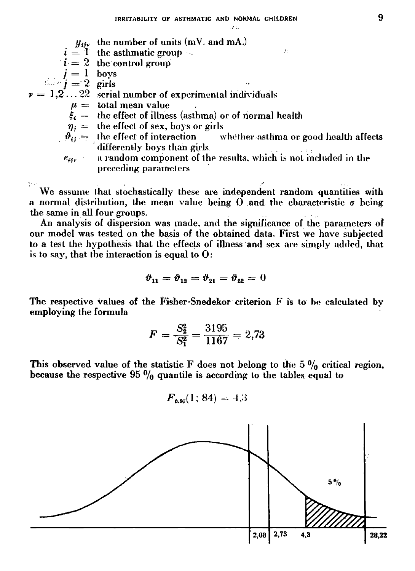*i i-*

 $y_{ijy}$  the number of units (mV. and mA.)

 $i = 1$  the asthmatic group  $\blacksquare$ 

 $i = 2$  the control group

 $j = 1$  boys

 $j = 2$  girls

$$
v = 1, 2, \ldots 22
$$
 serial number of experimental individuals

 $\mu =$  total mean value

 $\xi_i =$  the effect of illness (asthma) or of normal health

- $\eta_i$  = the effect of sex, boys or girls
- $\vartheta_{ij} = \,$  the effect of interaction  $\qquad$  whether asthma or good health affects  $\,$ **differently boys than girls**   $\mathbb{R}^2$  $\omega \to -\infty$

$$
e_{ijr}
$$
 = a random component of the results, which is not included in the preceding parameters

**')' • i .** *f*  **We assume that stochastically these are independent random quantities with a normal distribution, the mean value being 0 and the characteristic** *a* **being the same in all four groups.** 

**An analysis of dispersion was made, and the significance of the parameters of our model was tested on the basis of the obtained data. First we have subjected to a test the hypothesis that the effects of illness and sex are simply added, that is to say, that the interaction is equal to 0:** 

$$
\boldsymbol{\vartheta}_{11}=\boldsymbol{\vartheta}_{12}=\boldsymbol{\vartheta}_{21}=\boldsymbol{\vartheta}_{22}=0
$$

**The respective values of the Fisher-Snedekor criterion F is to be calculated by employing the formula** 

$$
F = \frac{S_2^2}{S_1^2} = \frac{3195}{1167} = 2{,}73
$$

This observed value of the statistic F does not belong to the 5  $\frac{0}{0}$  critical region, because the respective 95  $\frac{0}{0}$  quantile is according to the tables equal to

$$
F_{0.95}(1; 84) = 4.3
$$

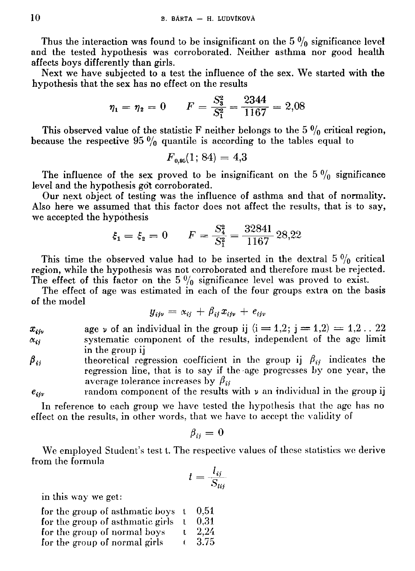Thus the interaction was found to be insignificant on the  $5\%$  significance level **and the tested hypothesis was corroborated. Neither asthma nor good health affects boys differently than girls.** 

**Next we have subjected to a test the influence of the sex. We started with the hypothesis that the sex has no effect on the results** 

$$
\eta_1 = \eta_2 = 0
$$
\n $F = \frac{S_3^2}{S_1^2} = \frac{2344}{1167} = 2,08$ 

This observed value of the statistic F neither belongs to the  $5 \frac{0}{0}$  critical region, **because the respective 95**  $\frac{0}{0}$  **quantile is according to the tables equal to** 

$$
F_{0.95}(1;\,84)=4.3
$$

The influence of the sex proved to be insignificant on the  $5 \frac{0}{0}$  significance **level and the hypothesis got corroborated.** 

**Our next object of testing was the influence of asthma and that of normality. Also here we assumed that this factor does not affect the results, that is to say, we accepted the hypothesis** 

$$
\xi_1 = \xi_2 = 0
$$
  $F = \frac{S_4^2}{S_1^2} = \frac{32841}{1167} 28.22$ 

This time the observed value had to be inserted in the dextral  $5 \frac{0}{0}$  critical **region, while the hypothesis was not corroborated and therefore must be rejected.**  The effect of this factor on the  $5\frac{0}{0}$  significance level was proved to exist.

**The effect of age was estimated in each of the four groups extra on the basis of the model** 

$$
y_{ij\nu} = \alpha_{ij} + \beta_{ij} x_{ij\nu} + e_{ij\nu}
$$

 $x_{ijy}$  age *v* of an individual in the group ij  $(i = 1,2; j = 1,2) = 1,2...$  22  $\alpha_{ij}$  systematic component of the results, independent of the age limit **in the group ij** 

 $\beta_{ij}$  theoretical regression coefficient in the group ij  $\beta_{ij}$  indicates the **regression line, that is to say if the age progresses by one year, the average tolerance increases by**  $\beta_{ii}$ 

*eijv* **random component of the results with** *v* **an individual in the group ij** 

**In reference to each group we have tested the hypothesis that the age has no effect on the results, in other words, that we have to accept the validity of** 

$$
{\beta}_{ij} = 0
$$

**We employed Student's test t. The respective values of these statistics we derive from the formula** 

$$
t=\frac{l_{ij}}{S_{lij}}
$$

**in this way we get:** 

| for the group of asthmatic boys t |              | 0.51  |
|-----------------------------------|--------------|-------|
| for the group of asthmatic girls  | -1           | 0.31  |
| for the group of normal boys      | $\mathbf{L}$ | -2.24 |
| for the group of normal girls     | τ.           | -3.75 |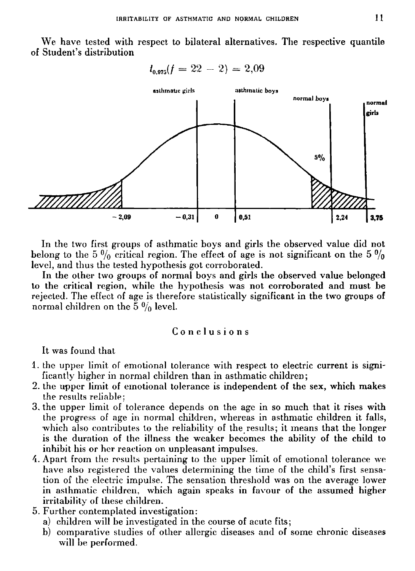**We have tested with respect to bilateral alternatives. The respective quantile of Student's distribution** 

 $l_{0.975}(f = 22 - 2) = 2,09$ 



**In the two first groups of asthmatic boys and girls the observed value did not**  belong to the 5  $\frac{0}{0}$  critical region. The effect of age is not significant on the 5  $\frac{0}{0}$ **level, and thus the tested hypothesis got corroborated.** 

**In the other two groups of normal boys and girls the observed value belonged to the critical region, while the hypothesis was not corroborated and must be rejected. The effect of age is therefore statistically significant in the two groups of**  normal children on the  $5 \frac{0}{0}$  level.

### **Conclusion s**

**It was found that** 

- **1. the upper limit of emotional tolerance with respect to electric current is significantly higher in normal children than in asthmatic children;**
- **2. the upper limit of emotional tolerance is independent of the sex, which makes the results reliable;**
- **3. the upper limit of tolerance depends on the age in so much that it rises with the progress of age in normal children, whereas in asthmatic children it falls, which also contributes to the reliability of the results; it means that the longer is the duration of ihe illness the weaker becomes the ability of the child to inhibit his or her reaction on unpleasant impulses.**
- **4. Apart from the results pertaining to the upper limit of emotional tolerance we have also registered the values determining the time of the child's first sensation of the electric impulse. The sensation threshold was on the average lower in asthmatic children, which again speaks in favour of the assumed higher irritability of these children.**
- **5. Further contemplated investigation:** 
	- **a) children will be investigated in the course of acute fits;**
	- **b) comparative studies of other allergic diseases and of some chronic diseases will he performed.**